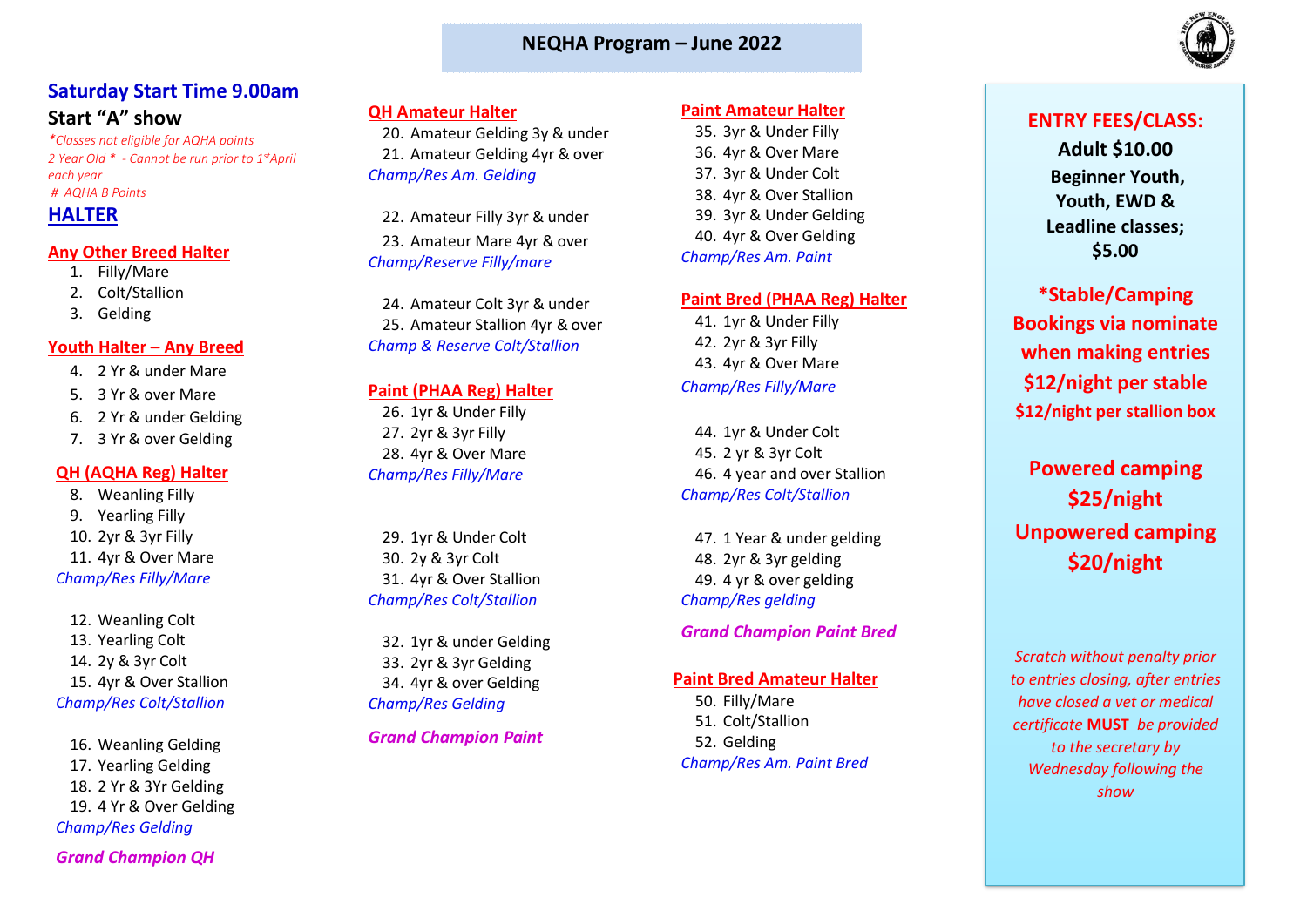### **NEQHA Program – June 2022**



# **Saturday Start Time 9.00am Start "A" show**

*\*Classes not eligible for AQHA points 2 Year Old \* - Cannot be run prior to 1stApril each year # AQHA B Points* 

# **HALTER**

#### **Any Other Breed Halter**

- 1. Filly/Mare
- 2. Colt/Stallion
- 3. Gelding

#### **Youth Halter – Any Breed**

- 4. 2 Yr & under Mare
- 5. 3 Yr & over Mare
- 6. 2 Yr & under Gelding
- 7. 3 Yr & over Gelding

#### **QH (AQHA Reg) Halter**

8. Weanling Filly 9. Yearling Filly 10. 2yr & 3yr Filly 11. 4yr & Over Mare *Champ/Res Filly/Mare*

12. Weanling Colt 13. Yearling Colt 14. 2y & 3yr Colt 15. 4yr & Over Stallion *Champ/Res Colt/Stallion*

16. Weanling Gelding 17. Yearling Gelding 18. 2 Yr & 3Yr Gelding 19. 4 Yr & Over Gelding *Champ/Res Gelding* 

*Grand Champion QH*

### **QH Amateur Halter**

20. Amateur Gelding 3y & under 21. Amateur Gelding 4yr & over *Champ/Res Am. Gelding*

22. Amateur Filly 3yr & under 23. Amateur Mare 4yr & over *Champ/Reserve Filly/mare*

24. Amateur Colt 3yr & under 25. Amateur Stallion 4vr & over *Champ & Reserve Colt/Stallion*

#### **Paint (PHAA Reg) Halter**

26. 1yr & Under Filly 27. 2yr & 3yr Filly 28. 4yr & Over Mare *Champ/Res Filly/Mare*

29. 1yr & Under Colt 30. 2y & 3yr Colt 31. 4yr & Over Stallion *Champ/Res Colt/Stallion*

32. 1yr & under Gelding 33. 2yr & 3yr Gelding 34. 4yr & over Gelding *Champ/Res Gelding* 

### *Grand Champion Paint*

#### **Paint Amateur Halter**

35. 3yr & Under Filly 36. 4yr & Over Mare 37. 3yr & Under Colt 38. 4yr & Over Stallion 39. 3yr & Under Gelding 40. 4yr & Over Gelding *Champ/Res Am. Paint*

#### **Paint Bred (PHAA Reg) Halter**

41. 1yr & Under Filly 42. 2yr & 3yr Filly 43. 4yr & Over Mare *Champ/Res Filly/Mare*

44. 1yr & Under Colt 45. 2 yr & 3yr Colt 46. 4 year and over Stallion *Champ/Res Colt/Stallion*

47. 1 Year & under gelding 48. 2yr & 3yr gelding 49. 4 yr & over gelding *Champ/Res gelding*

### *Grand Champion Paint Bred*

#### **Paint Bred Amateur Halter**

50. Filly/Mare 51. Colt/Stallion 52. Gelding *Champ/Res Am. Paint Bred*

# **ENTRY FEES/CLASS:**

**Adult \$10.00 Beginner Youth, Youth, EWD & Leadline classes; \$5.00**

**\*Stable/Camping Bookings via nominate when making entries \$12/night per stable \$12/night per stallion box**

# **Powered camping \$25/night Unpowered camping \$20/night**

*Scratch without penalty prior to entries closing, after entries have closed a vet or medical certificate* **MUST** *be provided to the secretary by Wednesday following the show*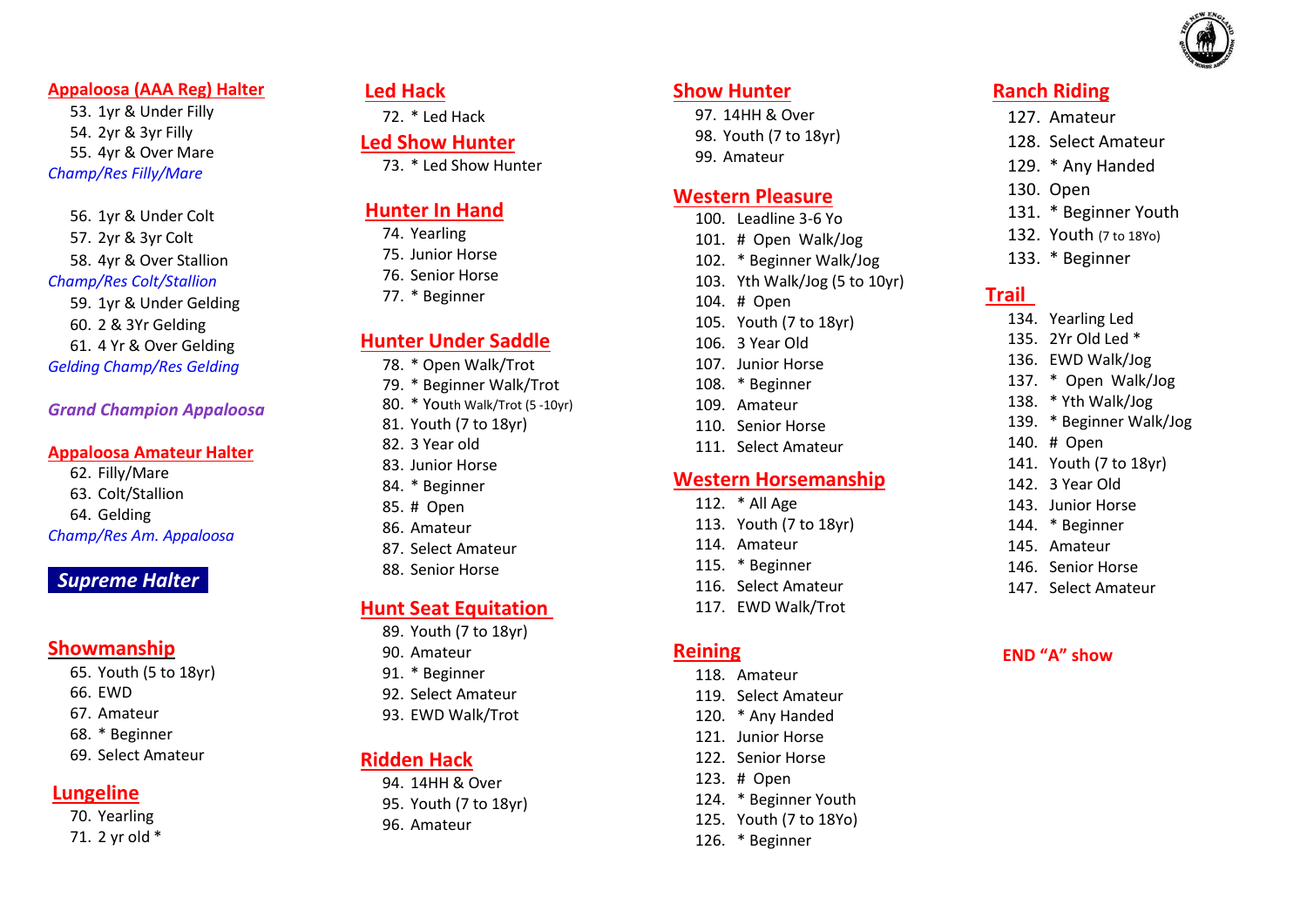

#### **Appaloosa (AAA Reg) Halter**

53. 1yr & Under Filly 54. 2yr & 3yr Filly 55. 4yr & Over Mare *Champ/Res Filly/Mare*

56. 1yr & Under Colt 57. 2yr & 3yr Colt 58. 4yr & Over Stallion *Champ/Res Colt/Stallion* 59. 1yr & Under Gelding 60. 2 & 3Yr Gelding 61. 4 Yr & Over Gelding

*Gelding Champ/Res Gelding*

*Grand Champion Appaloosa*

#### **Appaloosa Amateur Halter**

62. Filly/Mare 63. Colt/Stallion 64. Gelding *Champ/Res Am. Appaloosa* 

# *Supreme Halter*

# **Showmanship**

65. Youth (5 to 18yr)

- 66. EWD
- 67. Amateur
- 68. \* Beginner
- 69. Select Amateur

### **Lungeline**

70. Yearling 71. 2 yr old \*

### **Led Hack**

72. \* Led Hack

### **Led Show Hunter**

73. \* Led Show Hunter

# **Hunter In Hand**

- 74. Yearling
- 75. Junior Horse
- 76. Senior Horse
- 77. \* Beginner

# **Hunter Under Saddle**

- 78. \* Open Walk/Trot
- 79. \* Beginner Walk/Trot
- 80. \* Youth Walk/Trot (5 -10yr)
- 81. Youth (7 to 18yr)
- 82. 3 Year old
- 83. Junior Horse
- 84. \* Beginner
- 85. # Open
- 86. Amateur
- 87. Select Amateur
- 88. Senior Horse

# **Hunt Seat Equitation**

- 89. Youth (7 to 18yr)
- 90. Amateur
- 91. \* Beginner
- 92. Select Amateur
- 93. EWD Walk/Trot

# **Ridden Hack**

94. 14HH & Over 95. Youth (7 to 18yr) 96. Amateur

#### **Show Hunter**

97. 14HH & Over 98. Youth (7 to 18yr) 99. Amateur

### **Western Pleasure**

- 100. Leadline 3 -6 Yo
- 101. # Open Walk/Jog
- 102. \* Beginner Walk/Jog
- 103. Yth Walk/Jog (5 to 10yr)
- 104. # Open
- 105. Youth (7 to 18yr)
- 106. 3 Year Old
- 107. Junior Horse
- 108. \* Beginner
- 109. Amateur
- 110. Senior Horse
- 111. Select Amateur

# **Western Horsemanship**

- 112. \* All Age
- 113. Youth (7 to 18yr)
- 114. Amateur
- 115. \* Beginner
- 116. Select Amateur
- 117. EWD Walk/Trot

### **Reining**

- 118. Amateur
- 119. Select Amateur
- 120. \* Any Handed
- 121. Junior Horse
- 122. Senior Horse
- 123. # Open
- 124. \* Beginner Youth
- 125. Youth (7 to 18Yo)
- 126. \* Beginner

# **Ranch Riding**

- 127. Amateur
- 128. Select Amateur
- 129. \* Any Handed
- 130. Open
- 131. \* Beginner Youth
- 132. Youth (7 to 18Yo)
- 133. \* Beginner

# **Trail**

- 134. Yearling Led 135. 2Yr Old Led \* 136. EWD Walk/Jog 137. \* Open Walk/Jog 138. \* Yth Walk/Jog 139. \* Beginner Walk/Jog 140. # Open 141. Youth (7 to 18yr) 142. 3 Year Old 143. Junior Horse
- 144. \* Beginner
- 145. Amateur
- 146. Senior Horse
- 147. Select Amateur

### **END "A" show**

- 
- 
-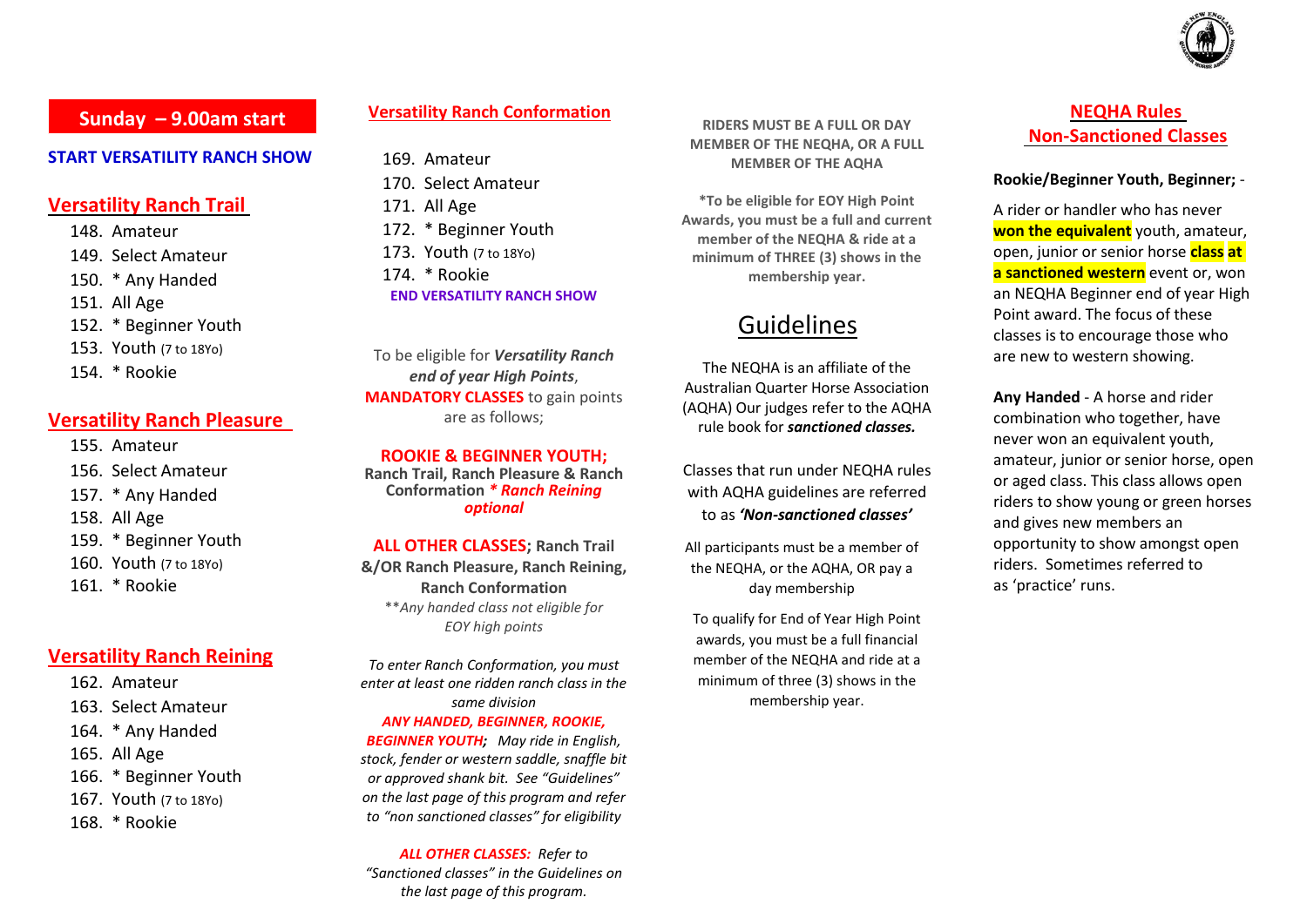

# **Sunday – 9.00am start**

#### **START VERSATILITY RANCH SHOW**

### **Versatility Ranch Trail**

148. Amateur

- 149. Select Amateur
- 150. \* Any Handed
- 151. All Age
- 152. \* Beginner Youth
- 153. Youth (7 to 18Yo)
- 154. \* Rookie

#### **Versatility Ranch Pleasure**

- 155. Amateur
- 156. Select Amateur
- 157. \* Any Handed
- 158. All Age
- 159. \* Beginner Youth
- 160. Youth (7 to 18Yo)
- 161. \* Rookie

### **Versatility Ranch Reining**

- 162. Amateur
- 163. Select Amateur
- 164. \* Any Handed
- 165. All Age
- 166. \* Beginner Youth
- 167. Youth (7 to 18Yo)
- 168. \* Rookie

### **Versatility Ranch Conformation**

169. Amateur 170. Select Amateur 171. All Age 172. \* Beginner Youth 173. Youth (7 to 18Yo) 174. \* Rookie **END VERSATILITY RANCH SHOW**

To be eligible for *Versatility Ranch end of year High Points*, **MANDATORY CLASSES** to gain points are as follows;

**ROOKIE & BEGINNER YOUTH;**

**Ranch Trail, Ranch Pleasure & Ranch Conformation** *\* Ranch Reining optional*

**ALL OTHER CLASSES; Ranch Trail** 

**&/OR Ranch Pleasure, Ranch Reining, Ranch Conformation** \*\**Any handed class not eligible for EOY high points*

*To enter Ranch Conformation, you must enter at least one ridden ranch class in the same division ANY HANDED, BEGINNER, ROOKIE, BEGINNER YOUTH; May ride in English,* 

*stock, fender or western saddle, snaffle bit or approved shank bit. See "Guidelines" on the last page of this program and refer to "non sanctioned classes" for eligibility*

*ALL OTHER CLASSES: Refer to "Sanctioned classes" in the Guidelines on the last page of this program.*

**RIDERS MUST BE A FULL OR DAY MEMBER OF THE NEQHA, OR A FULL MEMBER OF THE AQHA**

**\*To be eligible for EOY High Point Awards, you must be a full and current member of the NEQHA & ride at a minimum of THREE (3) shows in the membership year.**

# Guidelines

The NEQHA is an affiliate of the Australian Quarter Horse Association (AQHA) Our judges refer to the AQHA rule book for *sanctioned classes.*

Classes that run under NEQHA rules with AQHA guidelines are referred to as *'Non-sanctioned classes'*

All participants must be a member of the NEQHA, or the AQHA, OR pay a day membership

To qualify for End of Year High Point awards, you must be a full financial member of the NEQHA and ride at a minimum of three (3) shows in the membership year.

# **NEQHA Rules Non-Sanctioned Classes**

#### **Rookie/Beginner Youth, Beginner;** -

A rider or handler who has never **won the equivalent** youth, amateur, open, junior or senior horse **class at a sanctioned western** event or, won an NEQHA Beginner end of year High Point award. The focus of these classes is to encourage those who are new to western showing.

**Any Handed** - A horse and rider combination who together, have never won an equivalent youth, amateur, junior or senior horse, open or aged class. This class allows open riders to show young or green horses and gives new members an opportunity to show amongst open riders. Sometimes referred to as 'practice' runs.